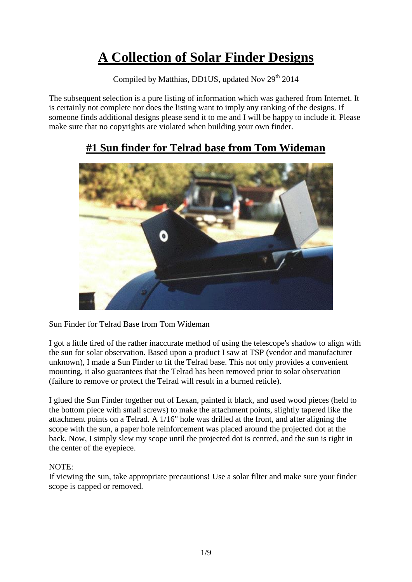# **A Collection of Solar Finder Designs**

Compiled by Matthias, DD1US, updated Nov 29<sup>th</sup> 2014

The subsequent selection is a pure listing of information which was gathered from Internet. It is certainly not complete nor does the listing want to imply any ranking of the designs. If someone finds additional designs please send it to me and I will be happy to include it. Please make sure that no copyrights are violated when building your own finder.

#### **#1 Sun finder for Telrad base from Tom Wideman**



Sun Finder for Telrad Base from Tom Wideman

I got a little tired of the rather inaccurate method of using the telescope's shadow to align with the sun for solar observation. Based upon a product I saw at TSP (vendor and manufacturer unknown), I made a Sun Finder to fit the Telrad base. This not only provides a convenient mounting, it also guarantees that the Telrad has been removed prior to solar observation (failure to remove or protect the Telrad will result in a burned reticle).

I glued the Sun Finder together out of Lexan, painted it black, and used wood pieces (held to the bottom piece with small screws) to make the attachment points, slightly tapered like the attachment points on a Telrad. A 1/16" hole was drilled at the front, and after aligning the scope with the sun, a paper hole reinforcement was placed around the projected dot at the back. Now, I simply slew my scope until the projected dot is centred, and the sun is right in the center of the eyepiece.

#### NOTE:

If viewing the sun, take appropriate precautions! Use a solar filter and make sure your finder scope is capped or removed.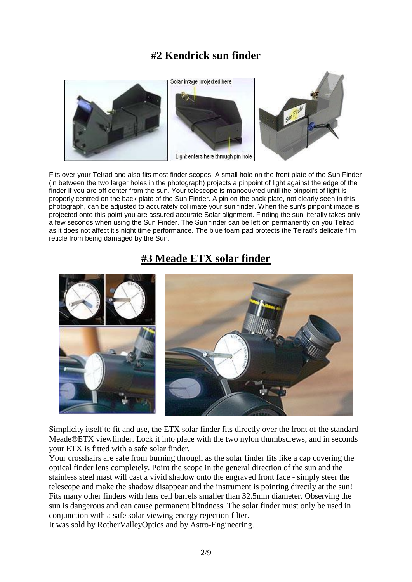# **#2 Kendrick sun finder**



Fits over your Telrad and also fits most finder scopes. A small hole on the front plate of the Sun Finder (in between the two larger holes in the photograph) projects a pinpoint of light against the edge of the finder if you are off center from the sun. Your telescope is manoeuvred until the pinpoint of light is properly centred on the back plate of the Sun Finder. A pin on the back plate, not clearly seen in this photograph, can be adjusted to accurately collimate your sun finder. When the sun's pinpoint image is projected onto this point you are assured accurate Solar alignment. Finding the sun literally takes only a few seconds when using the Sun Finder. The Sun finder can be left on permanently on you Telrad as it does not affect it's night time performance. The blue foam pad protects the Telrad's delicate film reticle from being damaged by the Sun.

#### **#3 Meade ETX solar finder**



Simplicity itself to fit and use, the ETX solar finder fits directly over the front of the standard Meade®ETX viewfinder. Lock it into place with the two nylon thumbscrews, and in seconds your ETX is fitted with a safe solar finder.

Your crosshairs are safe from burning through as the solar finder fits like a cap covering the optical finder lens completely. Point the scope in the general direction of the sun and the stainless steel mast will cast a vivid shadow onto the engraved front face - simply steer the telescope and make the shadow disappear and the instrument is pointing directly at the sun! Fits many other finders with lens cell barrels smaller than 32.5mm diameter. Observing the sun is dangerous and can cause permanent blindness. The solar finder must only be used in conjunction with a safe solar viewing energy rejection filter.

It was sold by RotherValleyOptics and by Astro-Engineering. .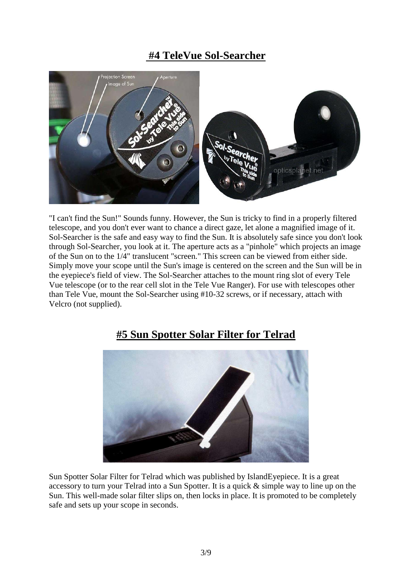#### **#4 TeleVue Sol-Searcher**



"I can't find the Sun!" Sounds funny. However, the Sun is tricky to find in a properly filtered telescope, and you don't ever want to chance a direct gaze, let alone a magnified image of it. Sol-Searcher is the safe and easy way to find the Sun. It is absolutely safe since you don't look through Sol-Searcher, you look at it. The aperture acts as a "pinhole" which projects an image of the Sun on to the 1/4" translucent "screen." This screen can be viewed from either side. Simply move your scope until the Sun's image is centered on the screen and the Sun will be in the eyepiece's field of view. The Sol-Searcher attaches to the mount ring slot of every Tele Vue telescope (or to the rear cell slot in the Tele Vue Ranger). For use with telescopes other than Tele Vue, mount the Sol-Searcher using #10-32 screws, or if necessary, attach with Velcro (not supplied).



#### **#5 Sun Spotter Solar Filter for Telrad**

Sun Spotter Solar Filter for Telrad which was published by IslandEyepiece. It is a great accessory to turn your Telrad into a Sun Spotter. It is a quick & simple way to line up on the Sun. This well-made solar filter slips on, then locks in place. It is promoted to be completely safe and sets up your scope in seconds.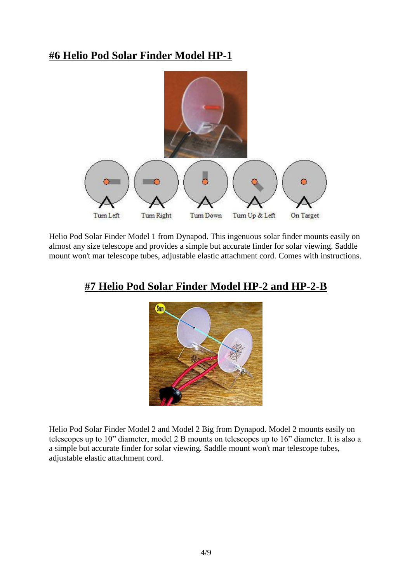#### **#6 Helio Pod Solar Finder Model HP-1**



Helio Pod Solar Finder Model 1 from Dynapod. This ingenuous solar finder mounts easily on almost any size telescope and provides a simple but accurate finder for solar viewing. Saddle mount won't mar telescope tubes, adjustable elastic attachment cord. Comes with instructions.

#### **#7 Helio Pod Solar Finder Model HP-2 and HP-2-B**



Helio Pod Solar Finder Model 2 and Model 2 Big from Dynapod. Model 2 mounts easily on telescopes up to 10" diameter, model 2 B mounts on telescopes up to 16" diameter. It is also a a simple but accurate finder for solar viewing. Saddle mount won't mar telescope tubes, adjustable elastic attachment cord.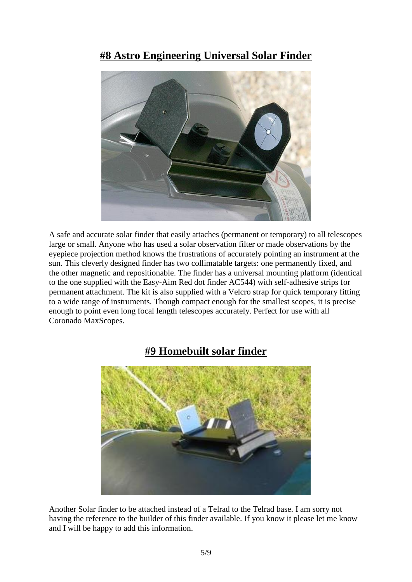#### **#8 Astro Engineering Universal Solar Finder**



A safe and accurate solar finder that easily attaches (permanent or temporary) to all telescopes large or small. Anyone who has used a solar observation filter or made observations by the eyepiece projection method knows the frustrations of accurately pointing an instrument at the sun. This cleverly designed finder has two collimatable targets: one permanently fixed, and the other magnetic and repositionable. The finder has a universal mounting platform (identical to the one supplied with the Easy-Aim Red dot finder AC544) with self-adhesive strips for permanent attachment. The kit is also supplied with a Velcro strap for quick temporary fitting to a wide range of instruments. Though compact enough for the smallest scopes, it is precise enough to point even long focal length telescopes accurately. Perfect for use with all Coronado MaxScopes.

#### **#9 Homebuilt solar finder**



Another Solar finder to be attached instead of a Telrad to the Telrad base. I am sorry not having the reference to the builder of this finder available. If you know it please let me know and I will be happy to add this information.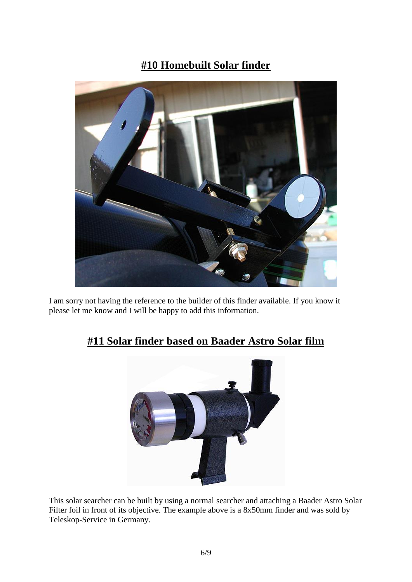# **#10 Homebuilt Solar finder**



I am sorry not having the reference to the builder of this finder available. If you know it please let me know and I will be happy to add this information.



# **#11 Solar finder based on Baader Astro Solar film**

This solar searcher can be built by using a normal searcher and attaching a Baader Astro Solar Filter foil in front of its objective. The example above is a 8x50mm finder and was sold by Teleskop-Service in Germany.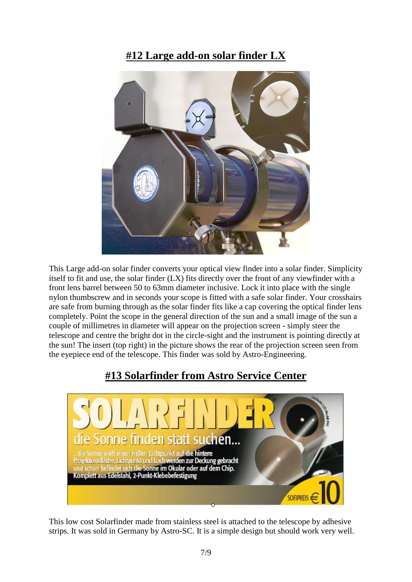#### **#12 Large add-on solar finder LX**



This Large add-on solar finder converts your optical view finder into a solar finder. Simplicity itself to fit and use, the solar finder (LX) fits directly over the front of any viewfinder with a front lens barrel between 50 to 63mm diameter inclusive. Lock it into place with the single nylon thumbscrew and in seconds your scope is fitted with a safe solar finder. Your crosshairs are safe from burning through as the solar finder fits like a cap covering the optical finder lens completely. Point the scope in the general direction of the sun and a small image of the sun a couple of millimetres in diameter will appear on the projection screen - simply steer the telescope and centre the bright dot in the circle-sight and the instrument is pointing directly at the sun! The insert (top right) in the picture shows the rear of the projection screen seen from the eyepiece end of the telescope. This finder was sold by Astro-Engineering.

# **#13 Solarfinder from Astro Service Center**



This low cost Solarfinder made from stainless steel is attached to the telescope by adhesive strips. It was sold in Germany by Astro-SC. It is a simple design but should work very well.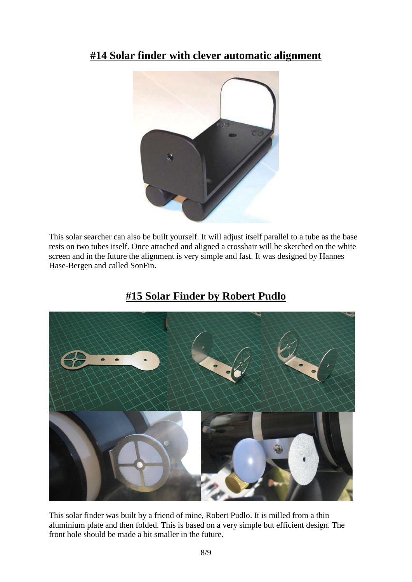### **#14 Solar finder with clever automatic alignment**



This solar searcher can also be built yourself. It will adjust itself parallel to a tube as the base rests on two tubes itself. Once attached and aligned a crosshair will be sketched on the white screen and in the future the alignment is very simple and fast. It was designed by Hannes Hase-Bergen and called SonFin.



#### **#15 Solar Finder by Robert Pudlo**

This solar finder was built by a friend of mine, Robert Pudlo. It is milled from a thin aluminium plate and then folded. This is based on a very simple but efficient design. The front hole should be made a bit smaller in the future.